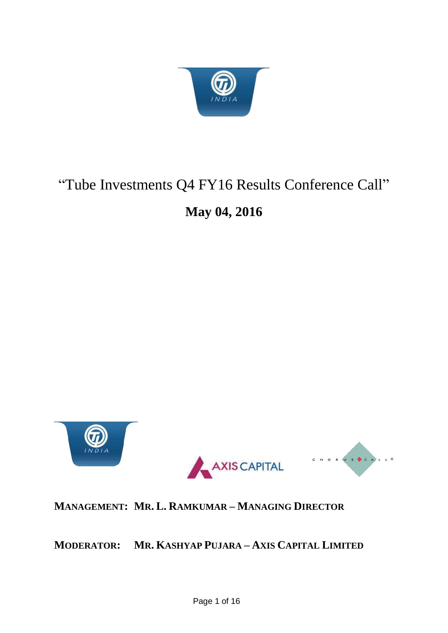

# "Tube Investments Q4 FY16 Results Conference Call"

# **May 04, 2016**



**MANAGEMENT: MR. L. RAMKUMAR – MANAGING DIRECTOR**

**MODERATOR: MR. KASHYAP PUJARA – AXIS CAPITAL LIMITED**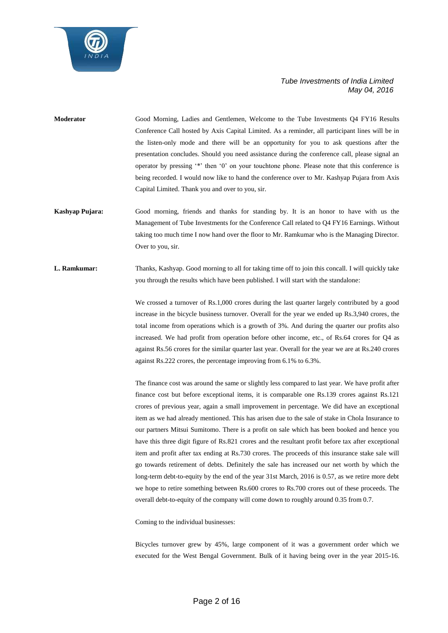

- **Moderator** Good Morning, Ladies and Gentlemen, Welcome to the Tube Investments Q4 FY16 Results Conference Call hosted by Axis Capital Limited. As a reminder, all participant lines will be in the listen-only mode and there will be an opportunity for you to ask questions after the presentation concludes. Should you need assistance during the conference call, please signal an operator by pressing '\*' then '0' on your touchtone phone. Please note that this conference is being recorded. I would now like to hand the conference over to Mr. Kashyap Pujara from Axis Capital Limited. Thank you and over to you, sir.
- **Kashyap Pujara:** Good morning, friends and thanks for standing by. It is an honor to have with us the Management of Tube Investments for the Conference Call related to Q4 FY16 Earnings. Without taking too much time I now hand over the floor to Mr. Ramkumar who is the Managing Director. Over to you, sir.
- **L. Ramkumar:** Thanks, Kashyap. Good morning to all for taking time off to join this concall. I will quickly take you through the results which have been published. I will start with the standalone:

We crossed a turnover of Rs.1,000 crores during the last quarter largely contributed by a good increase in the bicycle business turnover. Overall for the year we ended up Rs.3,940 crores, the total income from operations which is a growth of 3%. And during the quarter our profits also increased. We had profit from operation before other income, etc., of Rs.64 crores for Q4 as against Rs.56 crores for the similar quarter last year. Overall for the year we are at Rs.240 crores against Rs.222 crores, the percentage improving from 6.1% to 6.3%.

The finance cost was around the same or slightly less compared to last year. We have profit after finance cost but before exceptional items, it is comparable one Rs.139 crores against Rs.121 crores of previous year, again a small improvement in percentage. We did have an exceptional item as we had already mentioned. This has arisen due to the sale of stake in Chola Insurance to our partners Mitsui Sumitomo. There is a profit on sale which has been booked and hence you have this three digit figure of Rs.821 crores and the resultant profit before tax after exceptional item and profit after tax ending at Rs.730 crores. The proceeds of this insurance stake sale will go towards retirement of debts. Definitely the sale has increased our net worth by which the long-term debt-to-equity by the end of the year 31st March, 2016 is 0.57, as we retire more debt we hope to retire something between Rs.600 crores to Rs.700 crores out of these proceeds. The overall debt-to-equity of the company will come down to roughly around 0.35 from 0.7.

Coming to the individual businesses:

Bicycles turnover grew by 45%, large component of it was a government order which we executed for the West Bengal Government. Bulk of it having being over in the year 2015-16.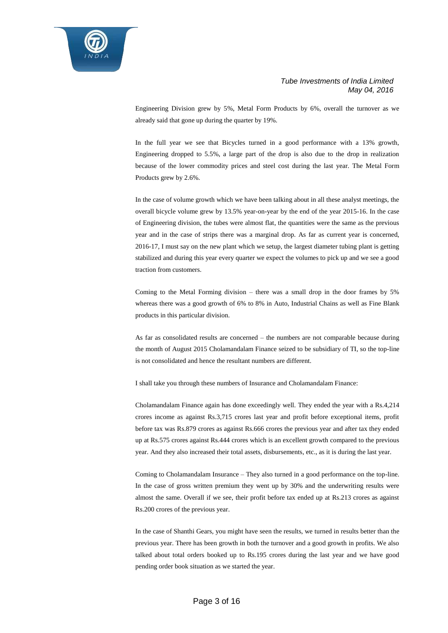

Engineering Division grew by 5%, Metal Form Products by 6%, overall the turnover as we already said that gone up during the quarter by 19%.

In the full year we see that Bicycles turned in a good performance with a 13% growth, Engineering dropped to 5.5%, a large part of the drop is also due to the drop in realization because of the lower commodity prices and steel cost during the last year. The Metal Form Products grew by 2.6%.

In the case of volume growth which we have been talking about in all these analyst meetings, the overall bicycle volume grew by 13.5% year-on-year by the end of the year 2015-16. In the case of Engineering division, the tubes were almost flat, the quantities were the same as the previous year and in the case of strips there was a marginal drop. As far as current year is concerned, 2016-17, I must say on the new plant which we setup, the largest diameter tubing plant is getting stabilized and during this year every quarter we expect the volumes to pick up and we see a good traction from customers.

Coming to the Metal Forming division – there was a small drop in the door frames by 5% whereas there was a good growth of 6% to 8% in Auto, Industrial Chains as well as Fine Blank products in this particular division.

As far as consolidated results are concerned – the numbers are not comparable because during the month of August 2015 Cholamandalam Finance seized to be subsidiary of TI, so the top-line is not consolidated and hence the resultant numbers are different.

I shall take you through these numbers of Insurance and Cholamandalam Finance:

Cholamandalam Finance again has done exceedingly well. They ended the year with a Rs.4,214 crores income as against Rs.3,715 crores last year and profit before exceptional items, profit before tax was Rs.879 crores as against Rs.666 crores the previous year and after tax they ended up at Rs.575 crores against Rs.444 crores which is an excellent growth compared to the previous year. And they also increased their total assets, disbursements, etc., as it is during the last year.

Coming to Cholamandalam Insurance – They also turned in a good performance on the top-line. In the case of gross written premium they went up by 30% and the underwriting results were almost the same. Overall if we see, their profit before tax ended up at Rs.213 crores as against Rs.200 crores of the previous year.

In the case of Shanthi Gears, you might have seen the results, we turned in results better than the previous year. There has been growth in both the turnover and a good growth in profits. We also talked about total orders booked up to Rs.195 crores during the last year and we have good pending order book situation as we started the year.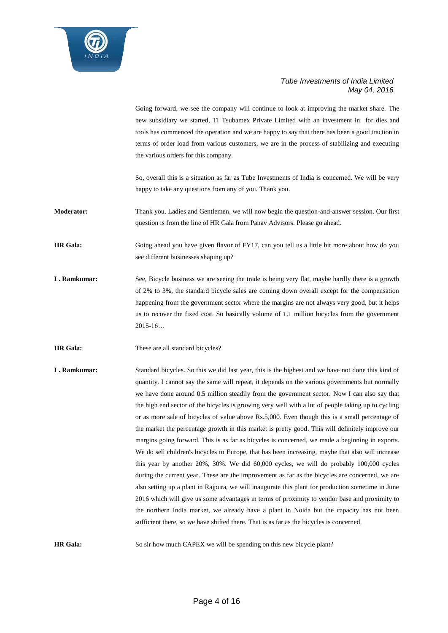

Going forward, we see the company will continue to look at improving the market share. The new subsidiary we started, TI Tsubamex Private Limited with an investment in for dies and tools has commenced the operation and we are happy to say that there has been a good traction in terms of order load from various customers, we are in the process of stabilizing and executing the various orders for this company.

So, overall this is a situation as far as Tube Investments of India is concerned. We will be very happy to take any questions from any of you. Thank you.

**Moderator:** Thank you. Ladies and Gentlemen, we will now begin the question-and-answer session. Our first question is from the line of HR Gala from Panav Advisors. Please go ahead.

**HR Gala:** Going ahead you have given flavor of FY17, can you tell us a little bit more about how do you see different businesses shaping up?

- **L. Ramkumar:** See, Bicycle business we are seeing the trade is being very flat, maybe hardly there is a growth of 2% to 3%, the standard bicycle sales are coming down overall except for the compensation happening from the government sector where the margins are not always very good, but it helps us to recover the fixed cost. So basically volume of 1.1 million bicycles from the government 2015-16…
- **HR Gala:** These are all standard bicycles?
- **L. Ramkumar:** Standard bicycles. So this we did last year, this is the highest and we have not done this kind of quantity. I cannot say the same will repeat, it depends on the various governments but normally we have done around 0.5 million steadily from the government sector. Now I can also say that the high end sector of the bicycles is growing very well with a lot of people taking up to cycling or as more sale of bicycles of value above Rs.5,000. Even though this is a small percentage of the market the percentage growth in this market is pretty good. This will definitely improve our margins going forward. This is as far as bicycles is concerned, we made a beginning in exports. We do sell children's bicycles to Europe, that has been increasing, maybe that also will increase this year by another 20%, 30%. We did 60,000 cycles, we will do probably 100,000 cycles during the current year. These are the improvement as far as the bicycles are concerned, we are also setting up a plant in Rajpura, we will inaugurate this plant for production sometime in June 2016 which will give us some advantages in terms of proximity to vendor base and proximity to the northern India market, we already have a plant in Noida but the capacity has not been sufficient there, so we have shifted there. That is as far as the bicycles is concerned.

**HR Gala:** So sir how much CAPEX we will be spending on this new bicycle plant?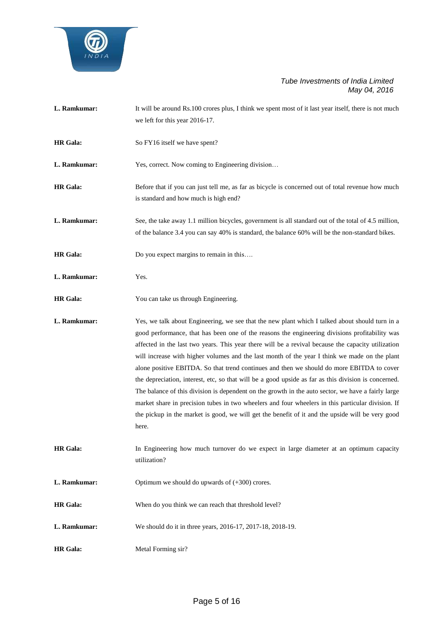

- L. Ramkumar: It will be around Rs.100 crores plus, I think we spent most of it last year itself, there is not much we left for this year 2016-17.
- **HR Gala:** So FY16 itself we have spent?

**L. Ramkumar:** Yes, correct. Now coming to Engineering division…

- **HR Gala:** Before that if you can just tell me, as far as bicycle is concerned out of total revenue how much is standard and how much is high end?
- **L. Ramkumar:** See, the take away 1.1 million bicycles, government is all standard out of the total of 4.5 million, of the balance 3.4 you can say 40% is standard, the balance 60% will be the non-standard bikes.
- **HR Gala:** Do you expect margins to remain in this....
- **L. Ramkumar:** Yes.
- **HR Gala:** You can take us through Engineering.

**L. Ramkumar:** Yes, we talk about Engineering, we see that the new plant which I talked about should turn in a good performance, that has been one of the reasons the engineering divisions profitability was affected in the last two years. This year there will be a revival because the capacity utilization will increase with higher volumes and the last month of the year I think we made on the plant alone positive EBITDA. So that trend continues and then we should do more EBITDA to cover the depreciation, interest, etc, so that will be a good upside as far as this division is concerned. The balance of this division is dependent on the growth in the auto sector, we have a fairly large market share in precision tubes in two wheelers and four wheelers in this particular division. If the pickup in the market is good, we will get the benefit of it and the upside will be very good here.

**HR Gala:** In Engineering how much turnover do we expect in large diameter at an optimum capacity utilization?

**L. Ramkumar:** Optimum we should do upwards of  $(+300)$  crores.

- **HR Gala:** When do you think we can reach that threshold level?
- **L. Ramkumar:** We should do it in three years, 2016-17, 2017-18, 2018-19.
- **HR Gala:** Metal Forming sir?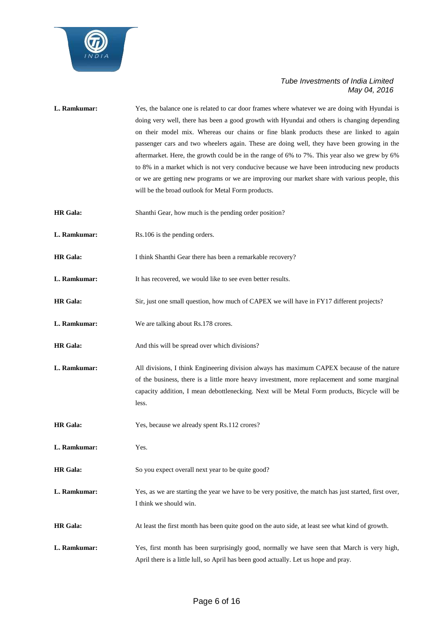

| L. Ramkumar:    | Yes, the balance one is related to car door frames where whatever we are doing with Hyundai is<br>doing very well, there has been a good growth with Hyundai and others is changing depending<br>on their model mix. Whereas our chains or fine blank products these are linked to again<br>passenger cars and two wheelers again. These are doing well, they have been growing in the<br>aftermarket. Here, the growth could be in the range of 6% to 7%. This year also we grew by 6%<br>to 8% in a market which is not very conducive because we have been introducing new products<br>or we are getting new programs or we are improving our market share with various people, this<br>will be the broad outlook for Metal Form products. |
|-----------------|-----------------------------------------------------------------------------------------------------------------------------------------------------------------------------------------------------------------------------------------------------------------------------------------------------------------------------------------------------------------------------------------------------------------------------------------------------------------------------------------------------------------------------------------------------------------------------------------------------------------------------------------------------------------------------------------------------------------------------------------------|
| <b>HR</b> Gala: | Shanthi Gear, how much is the pending order position?                                                                                                                                                                                                                                                                                                                                                                                                                                                                                                                                                                                                                                                                                         |
| L. Ramkumar:    | Rs.106 is the pending orders.                                                                                                                                                                                                                                                                                                                                                                                                                                                                                                                                                                                                                                                                                                                 |
| <b>HR</b> Gala: | I think Shanthi Gear there has been a remarkable recovery?                                                                                                                                                                                                                                                                                                                                                                                                                                                                                                                                                                                                                                                                                    |
| L. Ramkumar:    | It has recovered, we would like to see even better results.                                                                                                                                                                                                                                                                                                                                                                                                                                                                                                                                                                                                                                                                                   |
| <b>HR</b> Gala: | Sir, just one small question, how much of CAPEX we will have in FY17 different projects?                                                                                                                                                                                                                                                                                                                                                                                                                                                                                                                                                                                                                                                      |
| L. Ramkumar:    | We are talking about Rs.178 crores.                                                                                                                                                                                                                                                                                                                                                                                                                                                                                                                                                                                                                                                                                                           |
| <b>HR</b> Gala: | And this will be spread over which divisions?                                                                                                                                                                                                                                                                                                                                                                                                                                                                                                                                                                                                                                                                                                 |
| L. Ramkumar:    | All divisions, I think Engineering division always has maximum CAPEX because of the nature<br>of the business, there is a little more heavy investment, more replacement and some marginal<br>capacity addition, I mean debottlenecking. Next will be Metal Form products, Bicycle will be<br>less.                                                                                                                                                                                                                                                                                                                                                                                                                                           |
| <b>HR</b> Gala: | Yes, because we already spent Rs.112 crores?                                                                                                                                                                                                                                                                                                                                                                                                                                                                                                                                                                                                                                                                                                  |
| L. Ramkumar:    | Yes.                                                                                                                                                                                                                                                                                                                                                                                                                                                                                                                                                                                                                                                                                                                                          |
| <b>HR</b> Gala: | So you expect overall next year to be quite good?                                                                                                                                                                                                                                                                                                                                                                                                                                                                                                                                                                                                                                                                                             |
| L. Ramkumar:    | Yes, as we are starting the year we have to be very positive, the match has just started, first over,<br>I think we should win.                                                                                                                                                                                                                                                                                                                                                                                                                                                                                                                                                                                                               |
| <b>HR</b> Gala: | At least the first month has been quite good on the auto side, at least see what kind of growth.                                                                                                                                                                                                                                                                                                                                                                                                                                                                                                                                                                                                                                              |
| L. Ramkumar:    | Yes, first month has been surprisingly good, normally we have seen that March is very high,                                                                                                                                                                                                                                                                                                                                                                                                                                                                                                                                                                                                                                                   |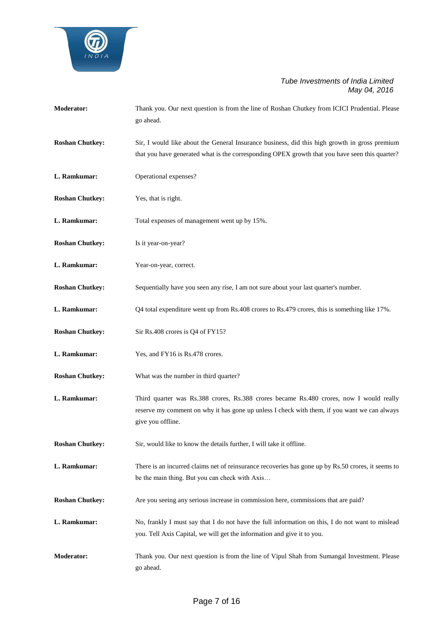

| <b>Moderator:</b>      | Thank you. Our next question is from the line of Roshan Chutkey from ICICI Prudential. Please<br>go ahead.                                                                                                   |
|------------------------|--------------------------------------------------------------------------------------------------------------------------------------------------------------------------------------------------------------|
| <b>Roshan Chutkey:</b> | Sir, I would like about the General Insurance business, did this high growth in gross premium<br>that you have generated what is the corresponding OPEX growth that you have seen this quarter?              |
| L. Ramkumar:           | Operational expenses?                                                                                                                                                                                        |
| <b>Roshan Chutkey:</b> | Yes, that is right.                                                                                                                                                                                          |
| L. Ramkumar:           | Total expenses of management went up by 15%.                                                                                                                                                                 |
| <b>Roshan Chutkey:</b> | Is it year-on-year?                                                                                                                                                                                          |
| L. Ramkumar:           | Year-on-year, correct.                                                                                                                                                                                       |
| <b>Roshan Chutkey:</b> | Sequentially have you seen any rise, I am not sure about your last quarter's number.                                                                                                                         |
| L. Ramkumar:           | Q4 total expenditure went up from Rs.408 crores to Rs.479 crores, this is something like 17%.                                                                                                                |
| <b>Roshan Chutkey:</b> | Sir Rs.408 crores is Q4 of FY15?                                                                                                                                                                             |
| L. Ramkumar:           | Yes, and FY16 is Rs.478 crores.                                                                                                                                                                              |
| <b>Roshan Chutkey:</b> | What was the number in third quarter?                                                                                                                                                                        |
| L. Ramkumar:           | Third quarter was Rs.388 crores, Rs.388 crores became Rs.480 crores, now I would really<br>reserve my comment on why it has gone up unless I check with them, if you want we can always<br>give you offline. |
| <b>Roshan Chutkey:</b> | Sir, would like to know the details further, I will take it offline.                                                                                                                                         |
| L. Ramkumar:           | There is an incurred claims net of reinsurance recoveries has gone up by Rs.50 crores, it seems to<br>be the main thing. But you can check with Axis                                                         |
| <b>Roshan Chutkey:</b> | Are you seeing any serious increase in commission here, commissions that are paid?                                                                                                                           |
| L. Ramkumar:           | No, frankly I must say that I do not have the full information on this, I do not want to mislead<br>you. Tell Axis Capital, we will get the information and give it to you.                                  |
| <b>Moderator:</b>      | Thank you. Our next question is from the line of Vipul Shah from Sumangal Investment. Please<br>go ahead.                                                                                                    |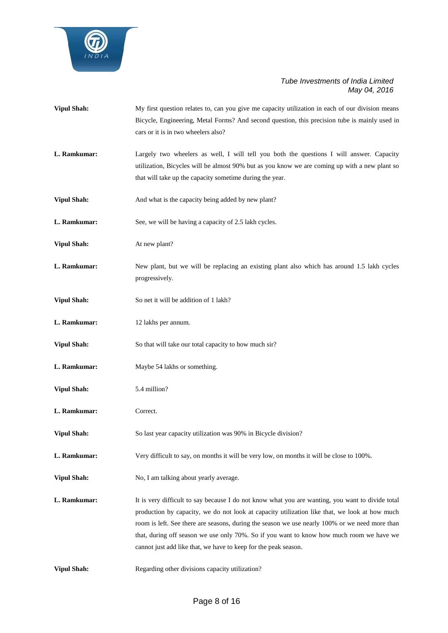

- **Vipul Shah:** My first question relates to, can you give me capacity utilization in each of our division means Bicycle, Engineering, Metal Forms? And second question, this precision tube is mainly used in cars or it is in two wheelers also?
- **L. Ramkumar:** Largely two wheelers as well, I will tell you both the questions I will answer. Capacity utilization, Bicycles will be almost 90% but as you know we are coming up with a new plant so that will take up the capacity sometime during the year.
- **Vipul Shah:** And what is the capacity being added by new plant?
- **L. Ramkumar:** See, we will be having a capacity of 2.5 lakh cycles.
- **Vipul Shah:** At new plant?
- **L. Ramkumar:** New plant, but we will be replacing an existing plant also which has around 1.5 lakh cycles progressively.
- **Vipul Shah:** So net it will be addition of 1 lakh?
- **L. Ramkumar:** 12 lakhs per annum.
- **Vipul Shah:** So that will take our total capacity to how much sir?
- **L. Ramkumar:** Maybe 54 lakhs or something.
- **Vipul Shah:** 5.4 million?
- **L. Ramkumar:** Correct.
- **Vipul Shah:** So last year capacity utilization was 90% in Bicycle division?
- **L. Ramkumar:** Very difficult to say, on months it will be very low, on months it will be close to 100%.
- **Vipul Shah:** No, I am talking about yearly average.
- **L. Ramkumar:** It is very difficult to say because I do not know what you are wanting, you want to divide total production by capacity, we do not look at capacity utilization like that, we look at how much room is left. See there are seasons, during the season we use nearly 100% or we need more than that, during off season we use only 70%. So if you want to know how much room we have we cannot just add like that, we have to keep for the peak season.
- **Vipul Shah:** Regarding other divisions capacity utilization?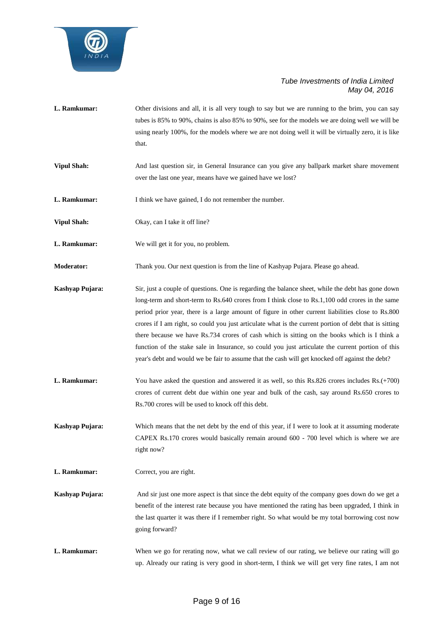

- **L. Ramkumar:** Other divisions and all, it is all very tough to say but we are running to the brim, you can say tubes is 85% to 90%, chains is also 85% to 90%, see for the models we are doing well we will be using nearly 100%, for the models where we are not doing well it will be virtually zero, it is like that.
- **Vipul Shah:** And last question sir, in General Insurance can you give any ballpark market share movement over the last one year, means have we gained have we lost?
- **L. Ramkumar:** I think we have gained, I do not remember the number.
- **Vipul Shah:** Okay, can I take it off line?
- **L. Ramkumar:** We will get it for you, no problem.

**Moderator:** Thank you. Our next question is from the line of Kashyap Pujara. Please go ahead.

- **Kashyap Pujara:** Sir, just a couple of questions. One is regarding the balance sheet, while the debt has gone down long-term and short-term to Rs.640 crores from I think close to Rs.1,100 odd crores in the same period prior year, there is a large amount of figure in other current liabilities close to Rs.800 crores if I am right, so could you just articulate what is the current portion of debt that is sitting there because we have Rs.734 crores of cash which is sitting on the books which is I think a function of the stake sale in Insurance, so could you just articulate the current portion of this year's debt and would we be fair to assume that the cash will get knocked off against the debt?
- **L. Ramkumar:** You have asked the question and answered it as well, so this Rs.826 crores includes Rs.(+700) crores of current debt due within one year and bulk of the cash, say around Rs.650 crores to Rs.700 crores will be used to knock off this debt.

**Kashyap Pujara:** Which means that the net debt by the end of this year, if I were to look at it assuming moderate CAPEX Rs.170 crores would basically remain around 600 - 700 level which is where we are right now?

- **L. Ramkumar:** Correct, you are right.
- **Kashyap Pujara:** And sir just one more aspect is that since the debt equity of the company goes down do we get a benefit of the interest rate because you have mentioned the rating has been upgraded, I think in the last quarter it was there if I remember right. So what would be my total borrowing cost now going forward?
- **L. Ramkumar:** When we go for rerating now, what we call review of our rating, we believe our rating will go up. Already our rating is very good in short-term, I think we will get very fine rates, I am not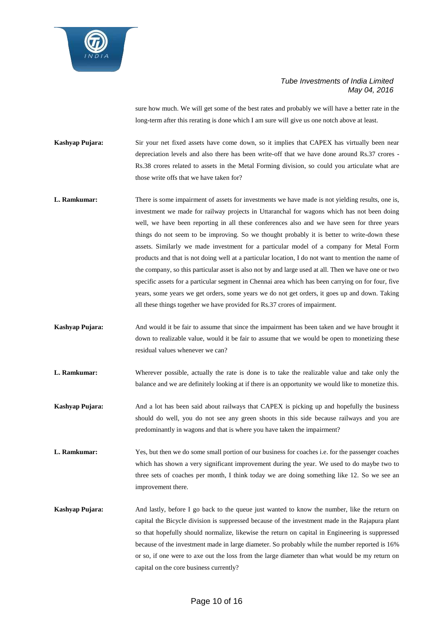

sure how much. We will get some of the best rates and probably we will have a better rate in the long-term after this rerating is done which I am sure will give us one notch above at least.

**Kashyap Pujara:** Sir your net fixed assets have come down, so it implies that CAPEX has virtually been near depreciation levels and also there has been write-off that we have done around Rs.37 crores - Rs.38 crores related to assets in the Metal Forming division, so could you articulate what are those write offs that we have taken for?

- **L. Ramkumar:** There is some impairment of assets for investments we have made is not yielding results, one is, investment we made for railway projects in Uttaranchal for wagons which has not been doing well, we have been reporting in all these conferences also and we have seen for three years things do not seem to be improving. So we thought probably it is better to write-down these assets. Similarly we made investment for a particular model of a company for Metal Form products and that is not doing well at a particular location, I do not want to mention the name of the company, so this particular asset is also not by and large used at all. Then we have one or two specific assets for a particular segment in Chennai area which has been carrying on for four, five years, some years we get orders, some years we do not get orders, it goes up and down. Taking all these things together we have provided for Rs.37 crores of impairment.
- **Kashyap Pujara:** And would it be fair to assume that since the impairment has been taken and we have brought it down to realizable value, would it be fair to assume that we would be open to monetizing these residual values whenever we can?
- **L. Ramkumar:** Wherever possible, actually the rate is done is to take the realizable value and take only the balance and we are definitely looking at if there is an opportunity we would like to monetize this.
- **Kashyap Pujara:** And a lot has been said about railways that CAPEX is picking up and hopefully the business should do well, you do not see any green shoots in this side because railways and you are predominantly in wagons and that is where you have taken the impairment?
- L. Ramkumar: Yes, but then we do some small portion of our business for coaches i.e. for the passenger coaches which has shown a very significant improvement during the year. We used to do maybe two to three sets of coaches per month, I think today we are doing something like 12. So we see an improvement there.
- **Kashyap Pujara:** And lastly, before I go back to the queue just wanted to know the number, like the return on capital the Bicycle division is suppressed because of the investment made in the Rajapura plant so that hopefully should normalize, likewise the return on capital in Engineering is suppressed because of the investment made in large diameter. So probably while the number reported is 16% or so, if one were to axe out the loss from the large diameter than what would be my return on capital on the core business currently?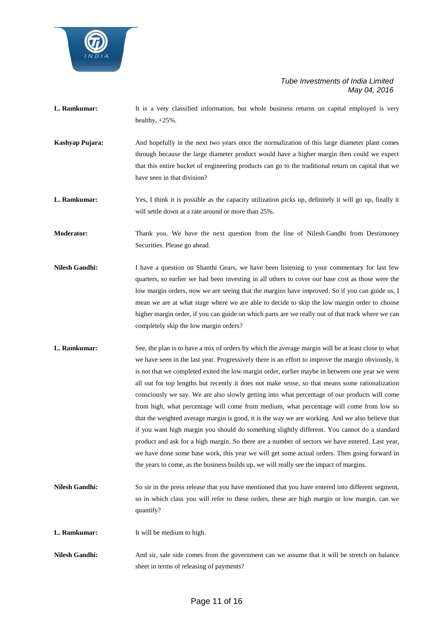

- **L. Ramkumar:** It is a very classified information, but whole business returns on capital employed is very healthy, +25%.
- **Kashyap Pujara:** And hopefully in the next two years once the normalization of this large diameter plant comes through because the large diameter product would have a higher margin then could we expect that this entire bucket of engineering products can go to the traditional return on capital that we have seen in that division?
- **L. Ramkumar:** Yes, I think it is possible as the capacity utilization picks up, definitely it will go up, finally it will settle down at a rate around or more than 25%.
- **Moderator:** Thank you. We have the next question from the line of Nilesh Gandhi from Destimoney Securities. Please go ahead.
- **Nilesh Gandhi:** I have a question on Shanthi Gears, we have been listening to your commentary for last few quarters, so earlier we had been investing in all others to cover our base cost as those were the low margin orders, now we are seeing that the margins have improved. So if you can guide us, I mean we are at what stage where we are able to decide to skip the low margin order to choose higher margin order, if you can guide on which parts are we really out of that track where we can completely skip the low margin orders?
- **L. Ramkumar:** See, the plan is to have a mix of orders by which the average margin will be at least close to what we have seen in the last year. Progressively there is an effort to improve the margin obviously, it is not that we completed exited the low margin order, earlier maybe in between one year we went all out for top lengths but recently it does not make sense, so that means some rationalization consciously we say. We are also slowly getting into what percentage of our products will come from high, what percentage will come from medium, what percentage will come from low so that the weighted average margin is good, it is the way we are working. And we also believe that if you want high margin you should do something slightly different. You cannot do a standard product and ask for a high margin. So there are a number of sectors we have entered. Last year, we have done some base work, this year we will get some actual orders. Then going forward in the years to come, as the business builds up, we will really see the impact of margins.
- **Nilesh Gandhi:** So sir in the press release that you have mentioned that you have entered into different segment, so in which class you will refer to these orders, these are high margin or low margin, can we quantify?
- **L. Ramkumar:** It will be medium to high.
- **Nilesh Gandhi:** And sir, sale side comes from the government can we assume that it will be stretch on balance sheet in terms of releasing of payments?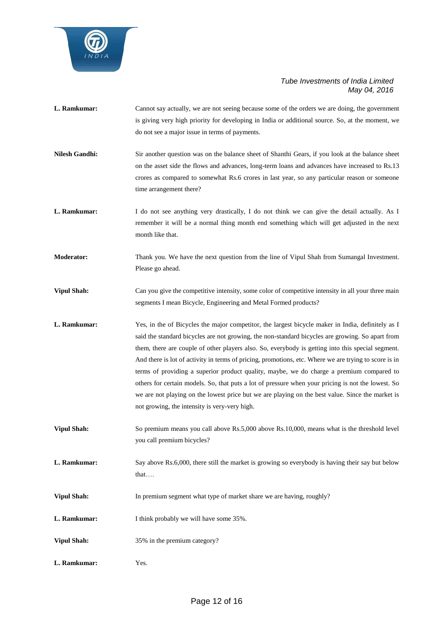

- **L. Ramkumar:** Cannot say actually, we are not seeing because some of the orders we are doing, the government is giving very high priority for developing in India or additional source. So, at the moment, we do not see a major issue in terms of payments. **Nilesh Gandhi:** Sir another question was on the balance sheet of Shanthi Gears, if you look at the balance sheet
- on the asset side the flows and advances, long-term loans and advances have increased to Rs.13 crores as compared to somewhat Rs.6 crores in last year, so any particular reason or someone time arrangement there?
- **L. Ramkumar:** I do not see anything very drastically, I do not think we can give the detail actually. As I remember it will be a normal thing month end something which will get adjusted in the next month like that.
- **Moderator:** Thank you. We have the next question from the line of Vipul Shah from Sumangal Investment. Please go ahead.
- **Vipul Shah:** Can you give the competitive intensity, some color of competitive intensity in all your three main segments I mean Bicycle, Engineering and Metal Formed products?
- L. Ramkumar: Yes, in the of Bicycles the major competitor, the largest bicycle maker in India, definitely as I said the standard bicycles are not growing, the non-standard bicycles are growing. So apart from them, there are couple of other players also. So, everybody is getting into this special segment. And there is lot of activity in terms of pricing, promotions, etc. Where we are trying to score is in terms of providing a superior product quality, maybe, we do charge a premium compared to others for certain models. So, that puts a lot of pressure when your pricing is not the lowest. So we are not playing on the lowest price but we are playing on the best value. Since the market is not growing, the intensity is very-very high.
- **Vipul Shah:** So premium means you call above Rs.5,000 above Rs.10,000, means what is the threshold level you call premium bicycles?
- **L. Ramkumar:** Say above Rs.6,000, there still the market is growing so everybody is having their say but below that….
- Vipul Shah: In premium segment what type of market share we are having, roughly?
- **L. Ramkumar:** I think probably we will have some 35%.
- **Vipul Shah:** 35% in the premium category?
- **L. Ramkumar:** Yes.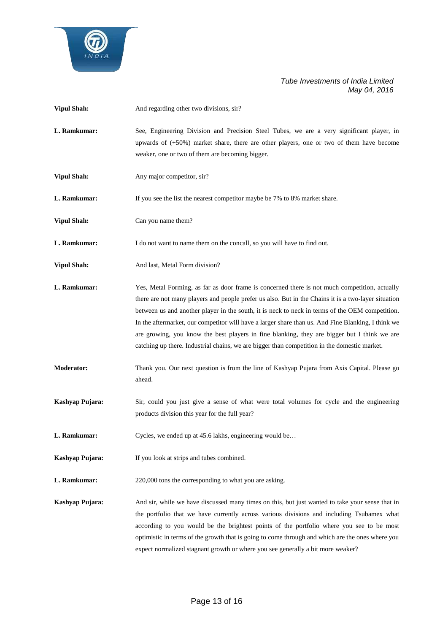

| <b>Vipul Shah:</b> | And regarding other two divisions, sir?                                                                                                                                                                                                                                                                                                                                                                                                                                                                                                                                                                      |
|--------------------|--------------------------------------------------------------------------------------------------------------------------------------------------------------------------------------------------------------------------------------------------------------------------------------------------------------------------------------------------------------------------------------------------------------------------------------------------------------------------------------------------------------------------------------------------------------------------------------------------------------|
| L. Ramkumar:       | See, Engineering Division and Precision Steel Tubes, we are a very significant player, in<br>upwards of $(+50%)$ market share, there are other players, one or two of them have become<br>weaker, one or two of them are becoming bigger.                                                                                                                                                                                                                                                                                                                                                                    |
| <b>Vipul Shah:</b> | Any major competitor, sir?                                                                                                                                                                                                                                                                                                                                                                                                                                                                                                                                                                                   |
| L. Ramkumar:       | If you see the list the nearest competitor maybe be 7% to 8% market share.                                                                                                                                                                                                                                                                                                                                                                                                                                                                                                                                   |
| <b>Vipul Shah:</b> | Can you name them?                                                                                                                                                                                                                                                                                                                                                                                                                                                                                                                                                                                           |
| L. Ramkumar:       | I do not want to name them on the concall, so you will have to find out.                                                                                                                                                                                                                                                                                                                                                                                                                                                                                                                                     |
| <b>Vipul Shah:</b> | And last, Metal Form division?                                                                                                                                                                                                                                                                                                                                                                                                                                                                                                                                                                               |
| L. Ramkumar:       | Yes, Metal Forming, as far as door frame is concerned there is not much competition, actually<br>there are not many players and people prefer us also. But in the Chains it is a two-layer situation<br>between us and another player in the south, it is neck to neck in terms of the OEM competition.<br>In the aftermarket, our competitor will have a larger share than us. And Fine Blanking, I think we<br>are growing, you know the best players in fine blanking, they are bigger but I think we are<br>catching up there. Industrial chains, we are bigger than competition in the domestic market. |
| <b>Moderator:</b>  | Thank you. Our next question is from the line of Kashyap Pujara from Axis Capital. Please go<br>ahead.                                                                                                                                                                                                                                                                                                                                                                                                                                                                                                       |
| Kashyap Pujara:    | Sir, could you just give a sense of what were total volumes for cycle and the engineering<br>products division this year for the full year?                                                                                                                                                                                                                                                                                                                                                                                                                                                                  |
| L. Ramkumar:       | Cycles, we ended up at 45.6 lakhs, engineering would be                                                                                                                                                                                                                                                                                                                                                                                                                                                                                                                                                      |
| Kashyap Pujara:    | If you look at strips and tubes combined.                                                                                                                                                                                                                                                                                                                                                                                                                                                                                                                                                                    |
| L. Ramkumar:       | 220,000 tons the corresponding to what you are asking.                                                                                                                                                                                                                                                                                                                                                                                                                                                                                                                                                       |
| Kashyap Pujara:    | And sir, while we have discussed many times on this, but just wanted to take your sense that in<br>the portfolio that we have currently across various divisions and including Tsubamex what<br>according to you would be the brightest points of the portfolio where you see to be most<br>optimistic in terms of the growth that is going to come through and which are the ones where you<br>expect normalized stagnant growth or where you see generally a bit more weaker?                                                                                                                              |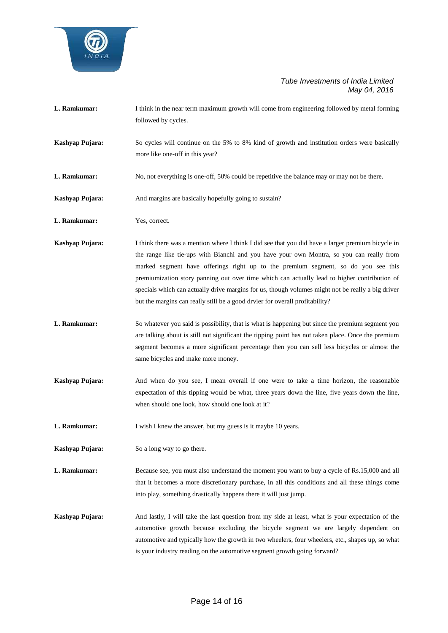

- **L. Ramkumar:** I think in the near term maximum growth will come from engineering followed by metal forming followed by cycles.
- **Kashyap Pujara:** So cycles will continue on the 5% to 8% kind of growth and institution orders were basically more like one-off in this year?
- **L. Ramkumar:** No, not everything is one-off, 50% could be repetitive the balance may or may not be there.
- **Kashyap Pujara:** And margins are basically hopefully going to sustain?
- **L. Ramkumar:** Yes, correct.
- **Kashyap Pujara:** I think there was a mention where I think I did see that you did have a larger premium bicycle in the range like tie-ups with Bianchi and you have your own Montra, so you can really from marked segment have offerings right up to the premium segment, so do you see this premiumization story panning out over time which can actually lead to higher contribution of specials which can actually drive margins for us, though volumes might not be really a big driver but the margins can really still be a good drvier for overall profitability?
- **L. Ramkumar:** So whatever you said is possibility, that is what is happening but since the premium segment you are talking about is still not significant the tipping point has not taken place. Once the premium segment becomes a more significant percentage then you can sell less bicycles or almost the same bicycles and make more money.
- **Kashyap Pujara:** And when do you see, I mean overall if one were to take a time horizon, the reasonable expectation of this tipping would be what, three years down the line, five years down the line, when should one look, how should one look at it?
- **L. Ramkumar:** I wish I knew the answer, but my guess is it maybe 10 years.

**Kashyap Pujara:** So a long way to go there.

- **L. Ramkumar:** Because see, you must also understand the moment you want to buy a cycle of Rs.15,000 and all that it becomes a more discretionary purchase, in all this conditions and all these things come into play, something drastically happens there it will just jump.
- **Kashyap Pujara:** And lastly, I will take the last question from my side at least, what is your expectation of the automotive growth because excluding the bicycle segment we are largely dependent on automotive and typically how the growth in two wheelers, four wheelers, etc., shapes up, so what is your industry reading on the automotive segment growth going forward?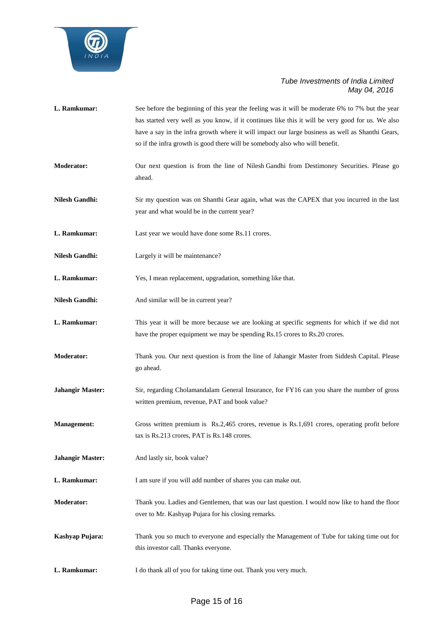

| L. Ramkumar:            | See before the beginning of this year the feeling was it will be moderate 6% to 7% but the year<br>has started very well as you know, if it continues like this it will be very good for us. We also<br>have a say in the infra growth where it will impact our large business as well as Shanthi Gears,<br>so if the infra growth is good there will be somebody also who will benefit. |
|-------------------------|------------------------------------------------------------------------------------------------------------------------------------------------------------------------------------------------------------------------------------------------------------------------------------------------------------------------------------------------------------------------------------------|
| <b>Moderator:</b>       | Our next question is from the line of Nilesh Gandhi from Destimoney Securities. Please go<br>ahead.                                                                                                                                                                                                                                                                                      |
| <b>Nilesh Gandhi:</b>   | Sir my question was on Shanthi Gear again, what was the CAPEX that you incurred in the last<br>year and what would be in the current year?                                                                                                                                                                                                                                               |
| L. Ramkumar:            | Last year we would have done some Rs.11 crores.                                                                                                                                                                                                                                                                                                                                          |
| <b>Nilesh Gandhi:</b>   | Largely it will be maintenance?                                                                                                                                                                                                                                                                                                                                                          |
| L. Ramkumar:            | Yes, I mean replacement, upgradation, something like that.                                                                                                                                                                                                                                                                                                                               |
| <b>Nilesh Gandhi:</b>   | And similar will be in current year?                                                                                                                                                                                                                                                                                                                                                     |
| L. Ramkumar:            | This year it will be more because we are looking at specific segments for which if we did not<br>have the proper equipment we may be spending Rs.15 crores to Rs.20 crores.                                                                                                                                                                                                              |
| <b>Moderator:</b>       | Thank you. Our next question is from the line of Jahangir Master from Siddesh Capital. Please<br>go ahead.                                                                                                                                                                                                                                                                               |
| <b>Jahangir Master:</b> | Sir, regarding Cholamandalam General Insurance, for FY16 can you share the number of gross<br>written premium, revenue, PAT and book value?                                                                                                                                                                                                                                              |
| <b>Management:</b>      | Gross written premium is Rs.2,465 crores, revenue is Rs.1,691 crores, operating profit before<br>tax is Rs.213 crores, PAT is Rs.148 crores.                                                                                                                                                                                                                                             |
| <b>Jahangir Master:</b> | And lastly sir, book value?                                                                                                                                                                                                                                                                                                                                                              |
| L. Ramkumar:            | I am sure if you will add number of shares you can make out.                                                                                                                                                                                                                                                                                                                             |
| <b>Moderator:</b>       | Thank you. Ladies and Gentlemen, that was our last question. I would now like to hand the floor<br>over to Mr. Kashyap Pujara for his closing remarks.                                                                                                                                                                                                                                   |
| Kashyap Pujara:         | Thank you so much to everyone and especially the Management of Tube for taking time out for<br>this investor call. Thanks everyone.                                                                                                                                                                                                                                                      |
| L. Ramkumar:            | I do thank all of you for taking time out. Thank you very much.                                                                                                                                                                                                                                                                                                                          |